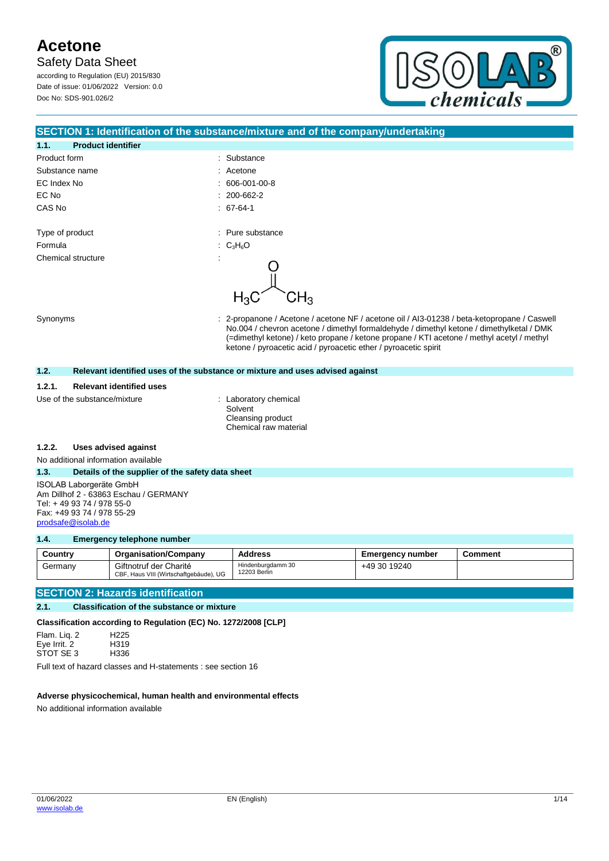**Safety Data Sheet** 

according to Regulation (EU) 2015/830 Date of issue: 01/06/2022 Version: 0.0 Doc No: SDS-901.026/2

**1.1. Product identifier**



#### **SECTION 1: Identification of the substance/mixture and of the company/undertaking**

| . .             | Product Identifier |    |                   |
|-----------------|--------------------|----|-------------------|
| Product form    |                    | ÷. | Substance         |
|                 | Substance name     | ÷. | Acetone           |
| EC Index No     |                    | t. | 606-001-00-8      |
| EC No           |                    |    | $: 200 - 662 - 2$ |
| CAS No          |                    |    | $. 67-64-1$       |
|                 |                    |    |                   |
| Type of product |                    |    | : Pure substance  |
| Formula         |                    |    | : $C_3H_6O$       |
|                 | Chemical structure | ٠  |                   |
|                 |                    |    |                   |

Synonyms **Synonyms** : 2-propanone / Acetone / acetone NF / acetone oil / AI3-01238 / beta-ketopropane / Caswell No.004 / chevron acetone / dimethyl formaldehyde / dimethyl ketone / dimethylketal / DMK (=dimethyl ketone) / keto propane / ketone propane / KTI acetone / methyl acetyl / methyl ketone / pyroacetic acid / pyroacetic ether / pyroacetic spirit

#### **1.2. Relevant identified uses of the substance or mixture and uses advised against**

#### **1.2.1. Relevant identified uses**

Use of the substance/mixture : Laboratory chemical

Solvent Cleansing product Chemical raw material

#### **1.2.2. Uses advised against**

No additional information available

#### **1.3. Details of the supplier of the safety data sheet**

ISOLAB Laborgeräte GmbH Am Dillhof 2 - 63863 Eschau / GERMANY Tel: + 49 93 74 / 978 55-0 Fax: +49 93 74 / 978 55-29 [prodsafe@isolab.de](mailto:prodsafe@isolab.de)

#### **1.4. Emergency telephone number**

| Country | <b>Organisation/Company</b>                                      | <b>Address</b>                    | <b>Emergency number</b> | <b>Comment</b> |
|---------|------------------------------------------------------------------|-----------------------------------|-------------------------|----------------|
| Germany | Giftnotruf der Charité<br>CBF, Haus VIII (Wirtschaftgebäude), UG | Hindenburgdamm 30<br>12203 Berlin | +49 30 19240            |                |

#### **SECTION 2: Hazards identification**

#### **2.1. Classification of the substance or mixture**

**Classification according to Regulation (EC) No. 1272/2008 [CLP]**

Flam. Liq. 2 H225 Eye Irrit. 2 H319<br>STOT SE 3 H336 STOT SE 3

Full text of hazard classes and H-statements : see section 16

#### **Adverse physicochemical, human health and environmental effects**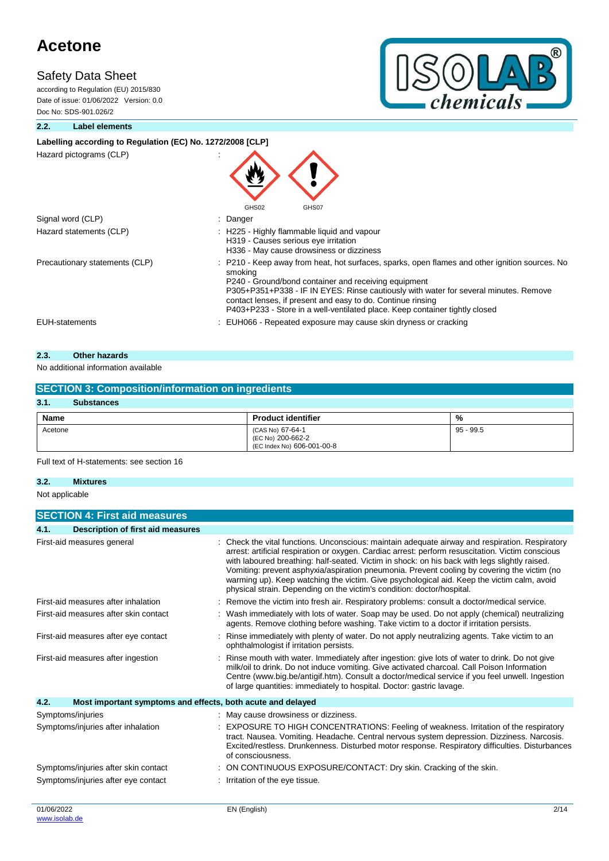## **Safety Data Sheet**

according to Regulation (EU) 2015/830 Date of issue: 01/06/2022 Version: 0.0 Doc No: SDS-901.026/2



#### **2.2. Label elements**

### Labelling according to Regulation (EC) No. 1272/2008 [CLP]

Hazard pictograms (CLP) :

| Hazard pictograms (CLP)        | GHS02<br>GHS07                                                                                                                                                                                                                                                                                                                                                                                          |
|--------------------------------|---------------------------------------------------------------------------------------------------------------------------------------------------------------------------------------------------------------------------------------------------------------------------------------------------------------------------------------------------------------------------------------------------------|
| Signal word (CLP)              | : Danger                                                                                                                                                                                                                                                                                                                                                                                                |
| Hazard statements (CLP)        | : H225 - Highly flammable liquid and vapour<br>H319 - Causes serious eye irritation<br>H336 - May cause drowsiness or dizziness                                                                                                                                                                                                                                                                         |
| Precautionary statements (CLP) | : P210 - Keep away from heat, hot surfaces, sparks, open flames and other ignition sources. No<br>smoking<br>P240 - Ground/bond container and receiving equipment<br>P305+P351+P338 - IF IN EYES: Rinse cautiously with water for several minutes. Remove<br>contact lenses, if present and easy to do. Continue rinsing<br>P403+P233 - Store in a well-ventilated place. Keep container tightly closed |
| <b>EUH-statements</b>          | : EUH066 - Repeated exposure may cause skin dryness or cracking                                                                                                                                                                                                                                                                                                                                         |
|                                |                                                                                                                                                                                                                                                                                                                                                                                                         |

### **2.3. Other hazards**

#### No additional information available

| <b>SECTION 3: Composition/information on ingredients</b> |                                                                     |             |  |  |
|----------------------------------------------------------|---------------------------------------------------------------------|-------------|--|--|
| 3.1.<br><b>Substances</b>                                |                                                                     |             |  |  |
| Name                                                     | <b>Product identifier</b>                                           | %           |  |  |
| Acetone                                                  | (CAS No) 67-64-1<br>(EC No) 200-662-2<br>(EC Index No) 606-001-00-8 | $95 - 99.5$ |  |  |

Full text of H-statements: see section 16

#### **3.2. Mixtures**

Not applicable

|                                       | <b>SECTION 4: First aid measures</b>                        |                                                                                                                                                                                                                                                                                                                                                                                                                                                                                                                                                                              |
|---------------------------------------|-------------------------------------------------------------|------------------------------------------------------------------------------------------------------------------------------------------------------------------------------------------------------------------------------------------------------------------------------------------------------------------------------------------------------------------------------------------------------------------------------------------------------------------------------------------------------------------------------------------------------------------------------|
| 4.1.                                  | <b>Description of first aid measures</b>                    |                                                                                                                                                                                                                                                                                                                                                                                                                                                                                                                                                                              |
|                                       | First-aid measures general                                  | : Check the vital functions. Unconscious: maintain adequate airway and respiration. Respiratory<br>arrest: artificial respiration or oxygen. Cardiac arrest: perform resuscitation. Victim conscious<br>with laboured breathing: half-seated. Victim in shock: on his back with legs slightly raised.<br>Vomiting: prevent asphyxia/aspiration pneumonia. Prevent cooling by covering the victim (no<br>warming up). Keep watching the victim. Give psychological aid. Keep the victim calm, avoid<br>physical strain. Depending on the victim's condition: doctor/hospital. |
|                                       | First-aid measures after inhalation                         | Remove the victim into fresh air. Respiratory problems: consult a doctor/medical service.                                                                                                                                                                                                                                                                                                                                                                                                                                                                                    |
| First-aid measures after skin contact |                                                             | Wash immediately with lots of water. Soap may be used. Do not apply (chemical) neutralizing<br>agents. Remove clothing before washing. Take victim to a doctor if irritation persists.                                                                                                                                                                                                                                                                                                                                                                                       |
|                                       | First-aid measures after eye contact                        | Rinse immediately with plenty of water. Do not apply neutralizing agents. Take victim to an<br>ophthalmologist if irritation persists.                                                                                                                                                                                                                                                                                                                                                                                                                                       |
|                                       | First-aid measures after ingestion                          | Rinse mouth with water. Immediately after ingestion: give lots of water to drink. Do not give<br>milk/oil to drink. Do not induce vomiting. Give activated charcoal. Call Poison Information<br>Centre (www.big.be/antigif.htm). Consult a doctor/medical service if you feel unwell. Ingestion<br>of large quantities: immediately to hospital. Doctor: gastric lavage.                                                                                                                                                                                                     |
| 4.2.                                  | Most important symptoms and effects, both acute and delayed |                                                                                                                                                                                                                                                                                                                                                                                                                                                                                                                                                                              |
| Symptoms/injuries                     |                                                             | : May cause drowsiness or dizziness.                                                                                                                                                                                                                                                                                                                                                                                                                                                                                                                                         |
|                                       | Symptoms/injuries after inhalation                          | EXPOSURE TO HIGH CONCENTRATIONS: Feeling of weakness. Irritation of the respiratory<br>tract. Nausea. Vomiting. Headache. Central nervous system depression. Dizziness. Narcosis.<br>Excited/restless. Drunkenness. Disturbed motor response. Respiratory difficulties. Disturbances<br>of consciousness.                                                                                                                                                                                                                                                                    |
|                                       | Symptoms/injuries after skin contact                        | ON CONTINUOUS EXPOSURE/CONTACT: Dry skin. Cracking of the skin.                                                                                                                                                                                                                                                                                                                                                                                                                                                                                                              |
|                                       | Symptoms/injuries after eye contact                         | Irritation of the eye tissue.                                                                                                                                                                                                                                                                                                                                                                                                                                                                                                                                                |
| 01/06/2022<br>www.isolab.de           |                                                             | EN (English)<br>2/14                                                                                                                                                                                                                                                                                                                                                                                                                                                                                                                                                         |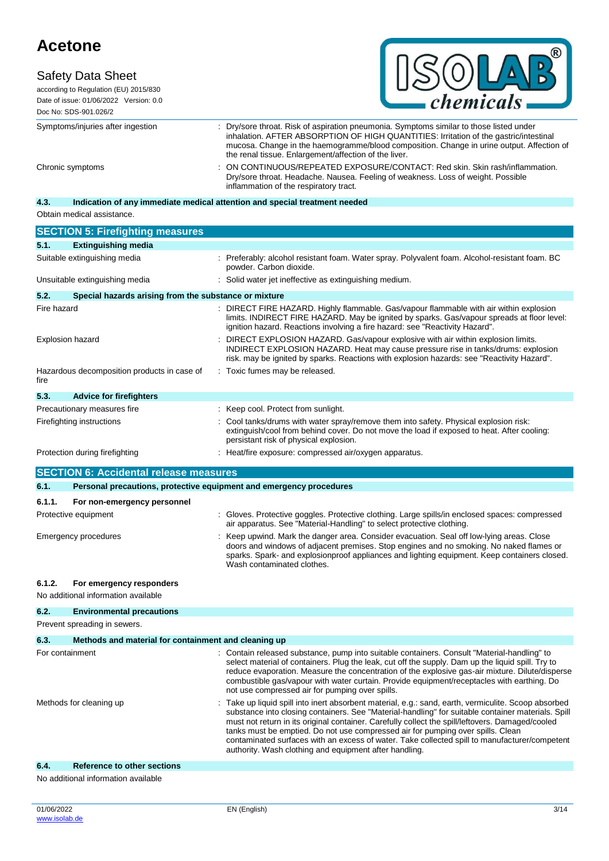### **Safety Data Sheet**



according to Regulation (EU) 2015/830 Date of issue: 01/06/2022 Version: 0.0 Doc No: SDS-901.026/2

Symptoms/injuries after ingestion : Dry/sore throat. Risk of aspiration pneumonia. Symptoms similar to those listed under inhalation. AFTER ABSORPTION OF HIGH QUANTITIES: Irritation of the gastric/intestinal mucosa. Change in the haemogramme/blood composition. Change in urine output. Affection of the renal tissue. Enlargement/affection of the liver. Chronic symptoms : ON CONTINUOUS/REPEATED EXPOSURE/CONTACT: Red skin. Skin rash/inflammation. Dry/sore throat. Headache. Nausea. Feeling of weakness. Loss of weight. Possible inflammation of the respiratory tract.

## **4.3. Indication of any immediate medical attention and special treatment needed**

Obtain medical assistance.

|                              | <b>SECTION 5: Firefighting measures</b>                             |                                                                                                                                                                                                                                                                                                                                                                                                                                                                                                                                                            |
|------------------------------|---------------------------------------------------------------------|------------------------------------------------------------------------------------------------------------------------------------------------------------------------------------------------------------------------------------------------------------------------------------------------------------------------------------------------------------------------------------------------------------------------------------------------------------------------------------------------------------------------------------------------------------|
| 5.1.                         | <b>Extinguishing media</b>                                          |                                                                                                                                                                                                                                                                                                                                                                                                                                                                                                                                                            |
| Suitable extinguishing media |                                                                     | : Preferably: alcohol resistant foam. Water spray. Polyvalent foam. Alcohol-resistant foam. BC<br>powder. Carbon dioxide.                                                                                                                                                                                                                                                                                                                                                                                                                                  |
|                              | Unsuitable extinguishing media                                      | Solid water jet ineffective as extinguishing medium.                                                                                                                                                                                                                                                                                                                                                                                                                                                                                                       |
| 5.2.                         | Special hazards arising from the substance or mixture               |                                                                                                                                                                                                                                                                                                                                                                                                                                                                                                                                                            |
| Fire hazard                  |                                                                     | : DIRECT FIRE HAZARD. Highly flammable. Gas/vapour flammable with air within explosion<br>limits. INDIRECT FIRE HAZARD. May be ignited by sparks. Gas/vapour spreads at floor level:<br>ignition hazard. Reactions involving a fire hazard: see "Reactivity Hazard".                                                                                                                                                                                                                                                                                       |
|                              | <b>Explosion hazard</b>                                             | : DIRECT EXPLOSION HAZARD. Gas/vapour explosive with air within explosion limits.<br>INDIRECT EXPLOSION HAZARD. Heat may cause pressure rise in tanks/drums: explosion<br>risk. may be ignited by sparks. Reactions with explosion hazards: see "Reactivity Hazard".                                                                                                                                                                                                                                                                                       |
| fire                         | Hazardous decomposition products in case of                         | Toxic fumes may be released.                                                                                                                                                                                                                                                                                                                                                                                                                                                                                                                               |
| 5.3.                         | <b>Advice for firefighters</b>                                      |                                                                                                                                                                                                                                                                                                                                                                                                                                                                                                                                                            |
|                              | Precautionary measures fire                                         | : Keep cool. Protect from sunlight.                                                                                                                                                                                                                                                                                                                                                                                                                                                                                                                        |
|                              | Firefighting instructions                                           | Cool tanks/drums with water spray/remove them into safety. Physical explosion risk:<br>extinguish/cool from behind cover. Do not move the load if exposed to heat. After cooling:<br>persistant risk of physical explosion.                                                                                                                                                                                                                                                                                                                                |
|                              | Protection during firefighting                                      | : Heat/fire exposure: compressed air/oxygen apparatus.                                                                                                                                                                                                                                                                                                                                                                                                                                                                                                     |
|                              | <b>SECTION 6: Accidental release measures</b>                       |                                                                                                                                                                                                                                                                                                                                                                                                                                                                                                                                                            |
| 6.1.                         | Personal precautions, protective equipment and emergency procedures |                                                                                                                                                                                                                                                                                                                                                                                                                                                                                                                                                            |
|                              |                                                                     |                                                                                                                                                                                                                                                                                                                                                                                                                                                                                                                                                            |
| 6.1.1.                       | For non-emergency personnel                                         |                                                                                                                                                                                                                                                                                                                                                                                                                                                                                                                                                            |
|                              | Protective equipment                                                | : Gloves. Protective goggles. Protective clothing. Large spills/in enclosed spaces: compressed<br>air apparatus. See "Material-Handling" to select protective clothing.                                                                                                                                                                                                                                                                                                                                                                                    |
|                              | <b>Emergency procedures</b>                                         | Keep upwind. Mark the danger area. Consider evacuation. Seal off low-lying areas. Close<br>doors and windows of adjacent premises. Stop engines and no smoking. No naked flames or<br>sparks. Spark- and explosionproof appliances and lighting equipment. Keep containers closed.<br>Wash contaminated clothes.                                                                                                                                                                                                                                           |
| 6.1.2.                       | For emergency responders                                            |                                                                                                                                                                                                                                                                                                                                                                                                                                                                                                                                                            |
|                              | No additional information available                                 |                                                                                                                                                                                                                                                                                                                                                                                                                                                                                                                                                            |
| 6.2.                         | <b>Environmental precautions</b>                                    |                                                                                                                                                                                                                                                                                                                                                                                                                                                                                                                                                            |
|                              | Prevent spreading in sewers.                                        |                                                                                                                                                                                                                                                                                                                                                                                                                                                                                                                                                            |
| 6.3.                         | Methods and material for containment and cleaning up                |                                                                                                                                                                                                                                                                                                                                                                                                                                                                                                                                                            |
|                              | For containment                                                     | : Contain released substance, pump into suitable containers. Consult "Material-handling" to<br>select material of containers. Plug the leak, cut off the supply. Dam up the liquid spill. Try to<br>reduce evaporation. Measure the concentration of the explosive gas-air mixture. Dilute/disperse<br>combustible gas/vapour with water curtain. Provide equipment/receptacles with earthing. Do<br>not use compressed air for pumping over spills.                                                                                                       |
| Methods for cleaning up      |                                                                     | Take up liquid spill into inert absorbent material, e.g.: sand, earth, vermiculite. Scoop absorbed<br>substance into closing containers. See "Material-handling" for suitable container materials. Spill<br>must not return in its original container. Carefully collect the spill/leftovers. Damaged/cooled<br>tanks must be emptied. Do not use compressed air for pumping over spills. Clean<br>contaminated surfaces with an excess of water. Take collected spill to manufacturer/competent<br>authority. Wash clothing and equipment after handling. |

#### **6.4. Reference to other sections**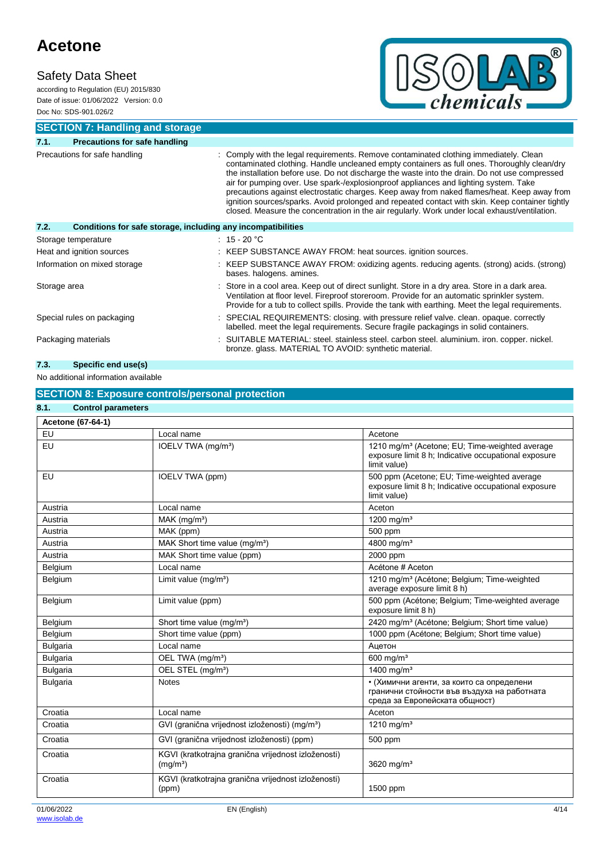## **Safety Data Sheet**

according to Regulation (EU) 2015/830 Date of issue: 01/06/2022 Version: 0.0 Doc No: SDS-901.026/2



**SECTION 7: Handling and storage**

| 7.1.                          | <b>Precautions for safe handling</b>                         |                                                                                                                                                                                                                                                                                                                                                                                                                                                                                                                                                                                                                                                                                  |  |
|-------------------------------|--------------------------------------------------------------|----------------------------------------------------------------------------------------------------------------------------------------------------------------------------------------------------------------------------------------------------------------------------------------------------------------------------------------------------------------------------------------------------------------------------------------------------------------------------------------------------------------------------------------------------------------------------------------------------------------------------------------------------------------------------------|--|
| Precautions for safe handling |                                                              | : Comply with the legal requirements. Remove contaminated clothing immediately. Clean<br>contaminated clothing. Handle uncleaned empty containers as full ones. Thoroughly clean/dry<br>the installation before use. Do not discharge the waste into the drain. Do not use compressed<br>air for pumping over. Use spark-/explosionproof appliances and lighting system. Take<br>precautions against electrostatic charges. Keep away from naked flames/heat. Keep away from<br>ignition sources/sparks. Avoid prolonged and repeated contact with skin. Keep container tightly<br>closed. Measure the concentration in the air regularly. Work under local exhaust/ventilation. |  |
| 7.2.                          | Conditions for safe storage, including any incompatibilities |                                                                                                                                                                                                                                                                                                                                                                                                                                                                                                                                                                                                                                                                                  |  |
| Storage temperature           |                                                              | $: 15 - 20 °C$                                                                                                                                                                                                                                                                                                                                                                                                                                                                                                                                                                                                                                                                   |  |
| Heat and ignition sources     |                                                              | : KEEP SUBSTANCE AWAY FROM: heat sources. ignition sources.                                                                                                                                                                                                                                                                                                                                                                                                                                                                                                                                                                                                                      |  |
| Information on mixed storage  |                                                              | : KEEP SUBSTANCE AWAY FROM: oxidizing agents. reducing agents. (strong) acids. (strong)<br>bases. halogens. amines.                                                                                                                                                                                                                                                                                                                                                                                                                                                                                                                                                              |  |
| Storage area                  |                                                              | : Store in a cool area. Keep out of direct sunlight. Store in a dry area. Store in a dark area.<br>Ventilation at floor level. Fireproof storeroom. Provide for an automatic sprinkler system.<br>Provide for a tub to collect spills. Provide the tank with earthing. Meet the legal requirements.                                                                                                                                                                                                                                                                                                                                                                              |  |
| Special rules on packaging    |                                                              | : SPECIAL REQUIREMENTS: closing. with pressure relief valve. clean. opaque. correctly<br>labelled. meet the legal requirements. Secure fragile packagings in solid containers.                                                                                                                                                                                                                                                                                                                                                                                                                                                                                                   |  |
|                               | Packaging materials                                          | : SUITABLE MATERIAL: steel. stainless steel. carbon steel. aluminium. iron. copper. nickel.<br>bronze. glass. MATERIAL TO AVOID: synthetic material.                                                                                                                                                                                                                                                                                                                                                                                                                                                                                                                             |  |

### **7.3. Specific end use(s)**

No additional information available

### **SECTION 8: Exposure controls/personal protection**

| 8.1.<br><b>Control parameters</b> |                                                                             |                                                                                                                                    |
|-----------------------------------|-----------------------------------------------------------------------------|------------------------------------------------------------------------------------------------------------------------------------|
| Acetone (67-64-1)                 |                                                                             |                                                                                                                                    |
| EU                                | Local name                                                                  | Acetone                                                                                                                            |
| EU                                | IOELV TWA (mg/m <sup>3</sup> )                                              | 1210 mg/m <sup>3</sup> (Acetone: EU: Time-weighted average<br>exposure limit 8 h; Indicative occupational exposure<br>limit value) |
| EU                                | IOELV TWA (ppm)                                                             | 500 ppm (Acetone; EU; Time-weighted average<br>exposure limit 8 h; Indicative occupational exposure<br>limit value)                |
| Austria                           | Local name                                                                  | Aceton                                                                                                                             |
| Austria                           | $MAK$ (mg/m <sup>3</sup> )                                                  | 1200 mg/m <sup>3</sup>                                                                                                             |
| Austria                           | MAK (ppm)                                                                   | 500 ppm                                                                                                                            |
| Austria                           | MAK Short time value (mg/m <sup>3</sup> )                                   | 4800 mg/m <sup>3</sup>                                                                                                             |
| Austria                           | MAK Short time value (ppm)                                                  | 2000 ppm                                                                                                                           |
| Belgium                           | Local name                                                                  | Acétone # Aceton                                                                                                                   |
| Belgium                           | Limit value (mg/m <sup>3</sup> )                                            | 1210 mg/m <sup>3</sup> (Acétone; Belgium; Time-weighted<br>average exposure limit 8 h)                                             |
| Belgium                           | Limit value (ppm)                                                           | 500 ppm (Acétone; Belgium; Time-weighted average<br>exposure limit 8 h)                                                            |
| Belgium                           | Short time value (mg/m <sup>3</sup> )                                       | 2420 mg/m <sup>3</sup> (Acétone; Belgium; Short time value)                                                                        |
| Belgium                           | Short time value (ppm)                                                      | 1000 ppm (Acétone; Belgium; Short time value)                                                                                      |
| <b>Bulgaria</b>                   | Local name                                                                  | Ацетон                                                                                                                             |
| <b>Bulgaria</b>                   | OEL TWA (mg/m <sup>3</sup> )                                                | 600 mg/m <sup>3</sup>                                                                                                              |
| <b>Bulgaria</b>                   | OEL STEL (mg/m <sup>3</sup> )                                               | 1400 mg/ $m^3$                                                                                                                     |
| <b>Bulgaria</b>                   | <b>Notes</b>                                                                | • (Химични агенти, за които са определени<br>гранични стойности във въздуха на работната<br>среда за Европейската общност)         |
| Croatia                           | Local name                                                                  | Aceton                                                                                                                             |
| Croatia                           | GVI (granična vrijednost izloženosti) (mg/m <sup>3</sup> )                  | 1210 mg/m <sup>3</sup>                                                                                                             |
| Croatia                           | GVI (granična vrijednost izloženosti) (ppm)                                 | 500 ppm                                                                                                                            |
| Croatia                           | KGVI (kratkotrajna granična vrijednost izloženosti)<br>(mg/m <sup>3</sup> ) | 3620 mg/ $m3$                                                                                                                      |
| Croatia                           | KGVI (kratkotrajna granična vrijednost izloženosti)<br>(ppm)                | 1500 ppm                                                                                                                           |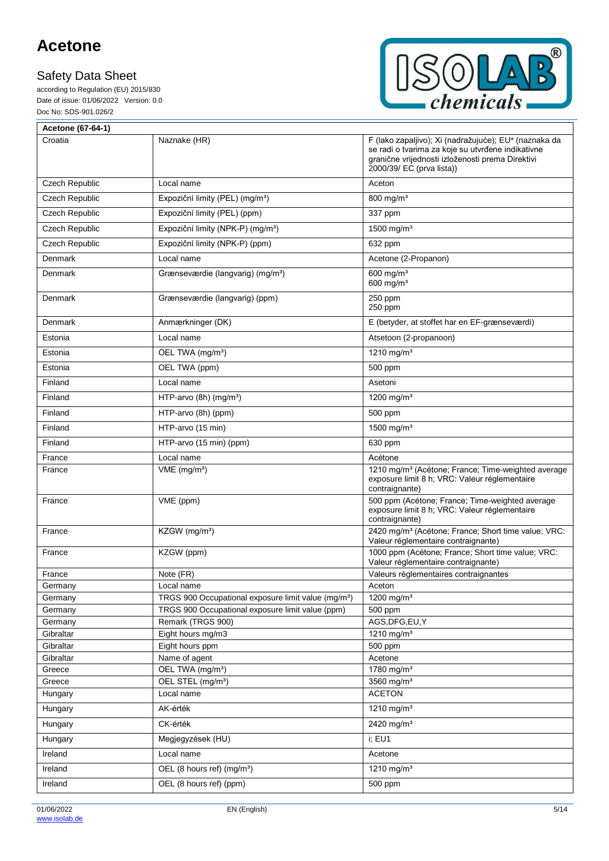according to Regulation (EU) 2015/830 Date of issue: 01/06/2022 Version: 0.0 Doc No: SDS-901.026/2



| Acetone (67-64-1)     |                                                                       |                                                                                                                                                                                             |
|-----------------------|-----------------------------------------------------------------------|---------------------------------------------------------------------------------------------------------------------------------------------------------------------------------------------|
| Croatia               | Naznake (HR)                                                          | F (lako zapaljivo); Xi (nadražujuće); EU* (naznaka da<br>se radi o tvarima za koje su utvrđene indikativne<br>granične vrijednosti izloženosti prema Direktivi<br>2000/39/ EC (prva lista)) |
| Czech Republic        | Local name                                                            | Aceton                                                                                                                                                                                      |
| <b>Czech Republic</b> | Expoziční limity (PEL) (mg/m <sup>3</sup> )                           | 800 mg/m <sup>3</sup>                                                                                                                                                                       |
| Czech Republic        | Expoziční limity (PEL) (ppm)                                          | 337 ppm                                                                                                                                                                                     |
| Czech Republic        | Expoziční limity (NPK-P) (mg/m <sup>3</sup> )                         | 1500 mg/m <sup>3</sup>                                                                                                                                                                      |
| <b>Czech Republic</b> | Expoziční limity (NPK-P) (ppm)                                        | 632 ppm                                                                                                                                                                                     |
| <b>Denmark</b>        | Local name                                                            | Acetone (2-Propanon)                                                                                                                                                                        |
| Denmark               | Grænseværdie (langvarig) (mg/m <sup>3</sup> )                         | 600 mg/ $m3$<br>600 mg/ $m3$                                                                                                                                                                |
| Denmark               | Grænseværdie (langvarig) (ppm)                                        | 250 ppm<br>250 ppm                                                                                                                                                                          |
| Denmark               | Anmærkninger (DK)                                                     | E (betyder, at stoffet har en EF-grænseværdi)                                                                                                                                               |
| Estonia               | Local name                                                            | Atsetoon (2-propanoon)                                                                                                                                                                      |
| Estonia               | OEL TWA (mg/m <sup>3</sup> )                                          | 1210 mg/m <sup>3</sup>                                                                                                                                                                      |
| Estonia               | OEL TWA (ppm)                                                         | 500 ppm                                                                                                                                                                                     |
| Finland               | Local name                                                            | Asetoni                                                                                                                                                                                     |
| Finland               | HTP-arvo $(8h)$ (mg/m <sup>3</sup> )                                  | 1200 mg/m <sup>3</sup>                                                                                                                                                                      |
| Finland               | HTP-arvo (8h) (ppm)                                                   | 500 ppm                                                                                                                                                                                     |
| Finland               | HTP-arvo (15 min)                                                     | 1500 mg/m <sup>3</sup>                                                                                                                                                                      |
| Finland               | HTP-arvo (15 min) (ppm)                                               | 630 ppm                                                                                                                                                                                     |
| France                | Local name                                                            | Acétone                                                                                                                                                                                     |
| France                | $VME$ (mg/m <sup>3</sup> )                                            | 1210 mg/m <sup>3</sup> (Acétone; France; Time-weighted average<br>exposure limit 8 h; VRC: Valeur réglementaire<br>contraignante)                                                           |
| France                | VME (ppm)                                                             | 500 ppm (Acétone; France; Time-weighted average<br>exposure limit 8 h; VRC: Valeur réglementaire<br>contraignante)                                                                          |
| France                | KZGW (mg/m <sup>3</sup> )                                             | 2420 mg/m <sup>3</sup> (Acétone; France; Short time value; VRC:<br>Valeur réglementaire contraignante)                                                                                      |
| France                | KZGW (ppm)                                                            | 1000 ppm (Acétone; France; Short time value; VRC:<br>Valeur réglementaire contraignante)                                                                                                    |
| France                | Note (FR)                                                             | Valeurs règlementaires contraignantes                                                                                                                                                       |
| Germany               | Local name                                                            | Aceton                                                                                                                                                                                      |
| Germany               | TRGS 900 Occupational exposure limit value (mg/m <sup>3</sup> )       | 1200 mg/m <sup>3</sup><br>500 ppm                                                                                                                                                           |
| Germany<br>Germany    | TRGS 900 Occupational exposure limit value (ppm)<br>Remark (TRGS 900) | AGS, DFG, EU, Y                                                                                                                                                                             |
| Gibraltar             | Eight hours mg/m3                                                     | 1210 mg/m <sup>3</sup>                                                                                                                                                                      |
| Gibraltar             | Eight hours ppm                                                       | 500 ppm                                                                                                                                                                                     |
| Gibraltar             | Name of agent                                                         | Acetone                                                                                                                                                                                     |
| Greece                | OEL TWA (mg/m <sup>3</sup> )                                          | 1780 mg/m $3$                                                                                                                                                                               |
| Greece                | OEL STEL (mg/m <sup>3</sup> )                                         | 3560 mg/ $m3$                                                                                                                                                                               |
| Hungary               | Local name                                                            | <b>ACETON</b>                                                                                                                                                                               |
| Hungary               | AK-érték                                                              | 1210 mg/m <sup>3</sup>                                                                                                                                                                      |
| Hungary               | CK-érték                                                              | 2420 mg/m <sup>3</sup>                                                                                                                                                                      |
| Hungary               | Megjegyzések (HU)                                                     | i; EU1                                                                                                                                                                                      |
| Ireland               | Local name                                                            | Acetone                                                                                                                                                                                     |
| Ireland               | OEL (8 hours ref) (mg/m <sup>3</sup> )                                | 1210 mg/m <sup>3</sup>                                                                                                                                                                      |
| Ireland               | OEL (8 hours ref) (ppm)                                               | 500 ppm                                                                                                                                                                                     |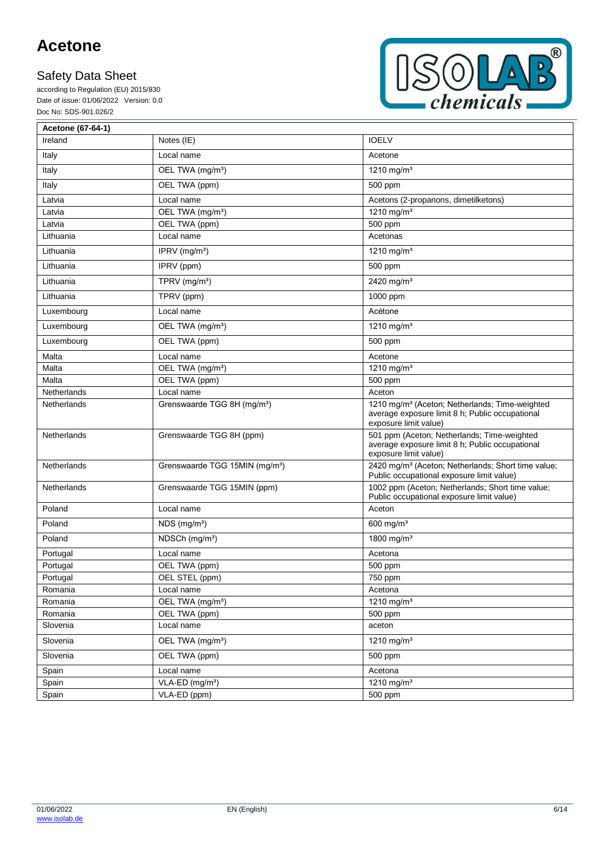according to Regulation (EU) 2015/830 Date of issue: 01/06/2022 Version: 0.0 Doc No: SDS-901.026/2



| Acetone (67-64-1)  |                                            |                                                                                                                                        |
|--------------------|--------------------------------------------|----------------------------------------------------------------------------------------------------------------------------------------|
| Ireland            | Notes (IE)                                 | <b>IOELV</b>                                                                                                                           |
| Italy              | Local name                                 | Acetone                                                                                                                                |
| Italy              | OEL TWA (mg/m <sup>3</sup> )               | 1210 mg/m <sup>3</sup>                                                                                                                 |
| Italy              | OEL TWA (ppm)                              | 500 ppm                                                                                                                                |
| Latvia             | Local name                                 | Acetons (2-propanons, dimetilketons)                                                                                                   |
| Latvia             | OEL TWA (mg/m <sup>3</sup> )               | 1210 mg/m <sup>3</sup>                                                                                                                 |
| Latvia             | OEL TWA (ppm)                              | 500 ppm                                                                                                                                |
| Lithuania          | Local name                                 | Acetonas                                                                                                                               |
| Lithuania          | IPRV $(mg/m3)$                             | 1210 mg/m <sup>3</sup>                                                                                                                 |
| Lithuania          | IPRV (ppm)                                 | 500 ppm                                                                                                                                |
| Lithuania          | TPRV (mg/m <sup>3</sup> )                  | 2420 mg/m <sup>3</sup>                                                                                                                 |
| Lithuania          | TPRV (ppm)                                 | 1000 ppm                                                                                                                               |
| Luxembourg         | Local name                                 | Acétone                                                                                                                                |
| Luxembourg         | OEL TWA (mg/m <sup>3</sup> )               | 1210 mg/m <sup>3</sup>                                                                                                                 |
| Luxembourg         | OEL TWA (ppm)                              | 500 ppm                                                                                                                                |
| Malta              | Local name                                 | Acetone                                                                                                                                |
| Malta              | OEL TWA (mg/m <sup>3</sup> )               | 1210 mg/m <sup>3</sup>                                                                                                                 |
| Malta              | OEL TWA (ppm)                              | 500 ppm                                                                                                                                |
| Netherlands        | Local name                                 | Aceton                                                                                                                                 |
| <b>Netherlands</b> | Grenswaarde TGG 8H (mg/m <sup>3</sup> )    | 1210 mg/m <sup>3</sup> (Aceton; Netherlands; Time-weighted<br>average exposure limit 8 h; Public occupational<br>exposure limit value) |
| Netherlands        | Grenswaarde TGG 8H (ppm)                   | 501 ppm (Aceton; Netherlands; Time-weighted<br>average exposure limit 8 h; Public occupational<br>exposure limit value)                |
| <b>Netherlands</b> | Grenswaarde TGG 15MIN (mg/m <sup>3</sup> ) | 2420 mg/m <sup>3</sup> (Aceton; Netherlands; Short time value;<br>Public occupational exposure limit value)                            |
| Netherlands        | Grenswaarde TGG 15MIN (ppm)                | 1002 ppm (Aceton; Netherlands; Short time value;<br>Public occupational exposure limit value)                                          |
| Poland             | Local name                                 | Aceton                                                                                                                                 |
| Poland             | $NDS$ (mg/m <sup>3</sup> )                 | $600$ mg/m <sup>3</sup>                                                                                                                |
| Poland             | NDSCh (mg/m <sup>3</sup> )                 | 1800 mg/m <sup>3</sup>                                                                                                                 |
| Portugal           | Local name                                 | Acetona                                                                                                                                |
| Portugal           | OEL TWA (ppm)                              | 500 ppm                                                                                                                                |
| Portugal           | OEL STEL (ppm)                             | 750 ppm                                                                                                                                |
| Romania            | Local name                                 | Acetona                                                                                                                                |
| Romania            | OEL TWA (mg/m <sup>3</sup> )               | 1210 mg/m <sup>3</sup>                                                                                                                 |
| Romania            | OEL TWA (ppm)                              | 500 ppm                                                                                                                                |
| Slovenia           | Local name                                 | aceton                                                                                                                                 |
| Slovenia           | OEL TWA (mg/m <sup>3</sup> )               | 1210 mg/m <sup>3</sup>                                                                                                                 |
| Slovenia           | OEL TWA (ppm)                              | 500 ppm                                                                                                                                |
| Spain              | Local name                                 | Acetona                                                                                                                                |
| Spain              | VLA-ED (mg/m <sup>3</sup> )                | 1210 mg/m <sup>3</sup>                                                                                                                 |
| Spain              | VLA-ED (ppm)                               | 500 ppm                                                                                                                                |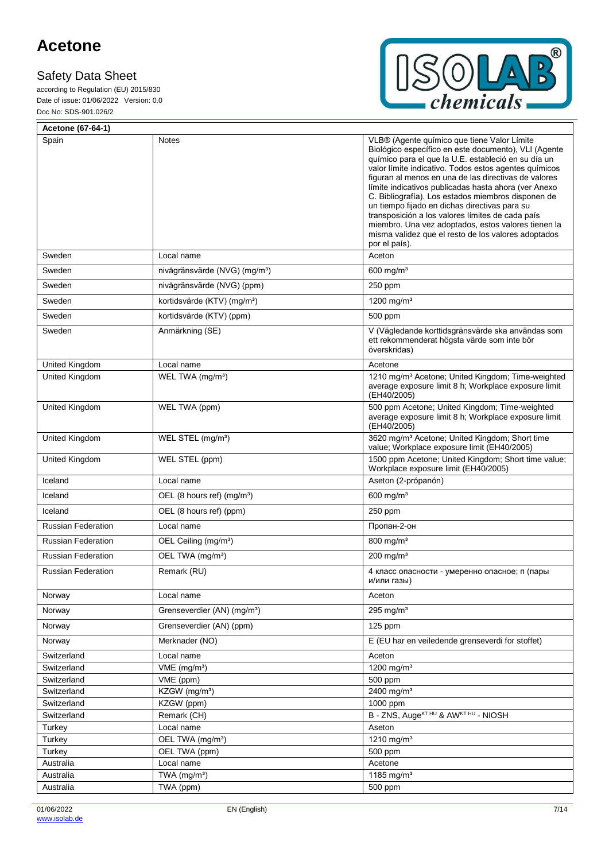F

according to Regulation (EU) 2015/830 Date of issue: 01/06/2022 Version: 0.0 Doc No: SDS-901.026/2



| Acetone (67-64-1)         |                                           |                                                                                                                                                                                                                                                                                                                                                                                                                                                                                                                                                                                                                               |
|---------------------------|-------------------------------------------|-------------------------------------------------------------------------------------------------------------------------------------------------------------------------------------------------------------------------------------------------------------------------------------------------------------------------------------------------------------------------------------------------------------------------------------------------------------------------------------------------------------------------------------------------------------------------------------------------------------------------------|
| Spain                     | <b>Notes</b>                              | VLB® (Agente químico que tiene Valor Límite<br>Biológico específico en este documento), VLI (Agente<br>químico para el que la U.E. estableció en su día un<br>valor límite indicativo. Todos estos agentes químicos<br>figuran al menos en una de las directivas de valores<br>límite indicativos publicadas hasta ahora (ver Anexo<br>C. Bibliografía). Los estados miembros disponen de<br>un tiempo fijado en dichas directivas para su<br>transposición a los valores límites de cada país<br>miembro. Una vez adoptados, estos valores tienen la<br>misma validez que el resto de los valores adoptados<br>por el país). |
| Sweden                    | Local name                                | Aceton                                                                                                                                                                                                                                                                                                                                                                                                                                                                                                                                                                                                                        |
| Sweden                    | nivågränsvärde (NVG) (mg/m <sup>3</sup> ) | 600 mg/m <sup>3</sup>                                                                                                                                                                                                                                                                                                                                                                                                                                                                                                                                                                                                         |
| Sweden                    | nivågränsvärde (NVG) (ppm)                | 250 ppm                                                                                                                                                                                                                                                                                                                                                                                                                                                                                                                                                                                                                       |
| Sweden                    | kortidsvärde (KTV) (mg/m <sup>3</sup> )   | 1200 mg/m <sup>3</sup>                                                                                                                                                                                                                                                                                                                                                                                                                                                                                                                                                                                                        |
| Sweden                    | kortidsvärde (KTV) (ppm)                  | 500 ppm                                                                                                                                                                                                                                                                                                                                                                                                                                                                                                                                                                                                                       |
| Sweden                    | Anmärkning (SE)                           | V (Vägledande korttidsgränsvärde ska användas som<br>ett rekommenderat högsta värde som inte bör<br>överskridas)                                                                                                                                                                                                                                                                                                                                                                                                                                                                                                              |
| United Kingdom            | Local name                                | Acetone                                                                                                                                                                                                                                                                                                                                                                                                                                                                                                                                                                                                                       |
| United Kingdom            | WEL TWA (mg/m <sup>3</sup> )              | 1210 mg/m <sup>3</sup> Acetone; United Kingdom; Time-weighted<br>average exposure limit 8 h; Workplace exposure limit<br>(EH40/2005)                                                                                                                                                                                                                                                                                                                                                                                                                                                                                          |
| United Kingdom            | WEL TWA (ppm)                             | 500 ppm Acetone; United Kingdom; Time-weighted<br>average exposure limit 8 h; Workplace exposure limit<br>(EH40/2005)                                                                                                                                                                                                                                                                                                                                                                                                                                                                                                         |
| United Kingdom            | WEL STEL (mg/m <sup>3</sup> )             | 3620 mg/m <sup>3</sup> Acetone; United Kingdom; Short time<br>value; Workplace exposure limit (EH40/2005)                                                                                                                                                                                                                                                                                                                                                                                                                                                                                                                     |
| United Kingdom            | WEL STEL (ppm)                            | 1500 ppm Acetone; United Kingdom; Short time value;<br>Workplace exposure limit (EH40/2005)                                                                                                                                                                                                                                                                                                                                                                                                                                                                                                                                   |
| Iceland                   | Local name                                | Aseton (2-própanón)                                                                                                                                                                                                                                                                                                                                                                                                                                                                                                                                                                                                           |
| Iceland                   | OEL (8 hours ref) (mg/m <sup>3</sup> )    | 600 mg/m <sup>3</sup>                                                                                                                                                                                                                                                                                                                                                                                                                                                                                                                                                                                                         |
| Iceland                   | OEL (8 hours ref) (ppm)                   | $250$ ppm                                                                                                                                                                                                                                                                                                                                                                                                                                                                                                                                                                                                                     |
| <b>Russian Federation</b> | Local name                                | Пропан-2-он                                                                                                                                                                                                                                                                                                                                                                                                                                                                                                                                                                                                                   |
| <b>Russian Federation</b> | OEL Ceiling (mg/m <sup>3</sup> )          | 800 mg/m <sup>3</sup>                                                                                                                                                                                                                                                                                                                                                                                                                                                                                                                                                                                                         |
| <b>Russian Federation</b> | OEL TWA (mg/m <sup>3</sup> )              | 200 mg/m <sup>3</sup>                                                                                                                                                                                                                                                                                                                                                                                                                                                                                                                                                                                                         |
| <b>Russian Federation</b> | Remark (RU)                               | 4 класс опасности - умеренно опасное; п (пары<br>и/или газы)                                                                                                                                                                                                                                                                                                                                                                                                                                                                                                                                                                  |
| Norway                    | Local name                                | Aceton                                                                                                                                                                                                                                                                                                                                                                                                                                                                                                                                                                                                                        |
| Norway                    | Grenseverdier (AN) (mg/m <sup>3</sup> )   | 295 mg/ $m3$                                                                                                                                                                                                                                                                                                                                                                                                                                                                                                                                                                                                                  |
| Norway                    | Grenseverdier (AN) (ppm)                  | 125 ppm                                                                                                                                                                                                                                                                                                                                                                                                                                                                                                                                                                                                                       |
| Norway                    | Merknader (NO)                            | E (EU har en veiledende grenseverdi for stoffet)                                                                                                                                                                                                                                                                                                                                                                                                                                                                                                                                                                              |
| Switzerland               | Local name                                | Aceton                                                                                                                                                                                                                                                                                                                                                                                                                                                                                                                                                                                                                        |
| Switzerland               | $VME$ (mg/m <sup>3</sup> )                | 1200 mg/m <sup>3</sup>                                                                                                                                                                                                                                                                                                                                                                                                                                                                                                                                                                                                        |
| Switzerland               | VME (ppm)                                 | 500 ppm                                                                                                                                                                                                                                                                                                                                                                                                                                                                                                                                                                                                                       |
| Switzerland               | KZGW (mg/m <sup>3</sup> )                 | 2400 mg/m <sup>3</sup>                                                                                                                                                                                                                                                                                                                                                                                                                                                                                                                                                                                                        |
| Switzerland               | KZGW (ppm)                                | 1000 ppm                                                                                                                                                                                                                                                                                                                                                                                                                                                                                                                                                                                                                      |
| Switzerland               | Remark (CH)                               | B - ZNS, Auge <sup>KT HU</sup> & AW <sup>KT HU</sup> - NIOSH                                                                                                                                                                                                                                                                                                                                                                                                                                                                                                                                                                  |
| Turkey                    | Local name                                | Aseton                                                                                                                                                                                                                                                                                                                                                                                                                                                                                                                                                                                                                        |
| Turkey                    | OEL TWA (mg/m <sup>3</sup> )              | 1210 mg/m <sup>3</sup>                                                                                                                                                                                                                                                                                                                                                                                                                                                                                                                                                                                                        |
| Turkey                    | OEL TWA (ppm)                             | 500 ppm                                                                                                                                                                                                                                                                                                                                                                                                                                                                                                                                                                                                                       |
| Australia                 | Local name                                | Acetone                                                                                                                                                                                                                                                                                                                                                                                                                                                                                                                                                                                                                       |
| Australia                 | TWA (mg/m <sup>3</sup> )                  | 1185 mg/m <sup>3</sup>                                                                                                                                                                                                                                                                                                                                                                                                                                                                                                                                                                                                        |
| Australia                 | TWA (ppm)                                 | 500 ppm                                                                                                                                                                                                                                                                                                                                                                                                                                                                                                                                                                                                                       |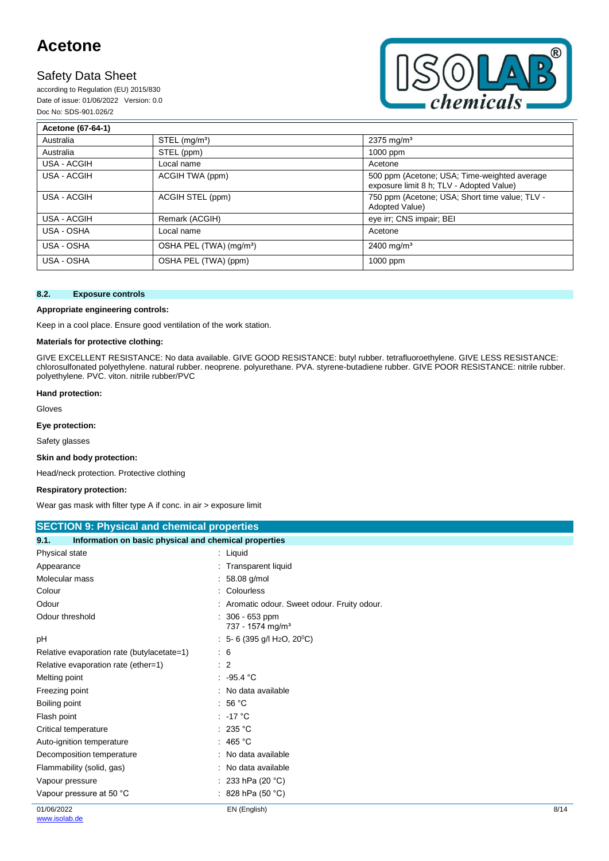## **Safety Data Sheet**

according to Regulation (EU) 2015/830 Date of issue: 01/06/2022 Version: 0.0 Doc No: SDS-901.026/2



| Acetone (67-64-1) |                                     |                                                                                          |
|-------------------|-------------------------------------|------------------------------------------------------------------------------------------|
| Australia         | $STEL$ (mg/m <sup>3</sup> )         | $2375 \,\mathrm{mq/m^3}$                                                                 |
| Australia         | STEL (ppm)                          | 1000 ppm                                                                                 |
| USA - ACGIH       | Local name                          | Acetone                                                                                  |
| USA - ACGIH       | ACGIH TWA (ppm)                     | 500 ppm (Acetone; USA; Time-weighted average<br>exposure limit 8 h; TLV - Adopted Value) |
| USA - ACGIH       | ACGIH STEL (ppm)                    | 750 ppm (Acetone; USA; Short time value; TLV -<br>Adopted Value)                         |
| USA - ACGIH       | Remark (ACGIH)                      | eye irr; CNS impair; BEI                                                                 |
| USA - OSHA        | Local name                          | Acetone                                                                                  |
| USA - OSHA        | OSHA PEL (TWA) (mg/m <sup>3</sup> ) | $2400$ mg/m <sup>3</sup>                                                                 |
| USA - OSHA        | OSHA PEL (TWA) (ppm)                | 1000 ppm                                                                                 |

#### **8.2. Exposure controls**

#### **Appropriate engineering controls:**

Keep in a cool place. Ensure good ventilation of the work station.

#### **Materials for protective clothing:**

GIVE EXCELLENT RESISTANCE: No data available. GIVE GOOD RESISTANCE: butyl rubber. tetrafluoroethylene. GIVE LESS RESISTANCE: chlorosulfonated polyethylene. natural rubber. neoprene. polyurethane. PVA. styrene-butadiene rubber. GIVE POOR RESISTANCE: nitrile rubber. polyethylene. PVC. viton. nitrile rubber/PVC

#### **Hand protection:**

Gloves

**Eye protection:**

Safety glasses

#### **Skin and body protection:**

Head/neck protection. Protective clothing

#### **Respiratory protection:**

Wear gas mask with filter type A if conc. in air > exposure limit

| <b>SECTION 9: Physical and chemical properties</b> |  |
|----------------------------------------------------|--|
|                                                    |  |

| 9.1.<br>Information on basic physical and chemical properties |                                                       |      |
|---------------------------------------------------------------|-------------------------------------------------------|------|
| Physical state                                                | $:$ Liquid                                            |      |
| Appearance                                                    | : Transparent liquid                                  |      |
| Molecular mass                                                | : 58.08 g/mol                                         |      |
| Colour                                                        | : Colourless                                          |      |
| Odour                                                         | : Aromatic odour. Sweet odour. Fruity odour.          |      |
| Odour threshold                                               | 306 - 653 ppm<br>737 - 1574 mg/m <sup>3</sup>         |      |
| рH                                                            | $: 5-6$ (395 g/l H <sub>2</sub> O, 20 <sup>°</sup> C) |      |
| Relative evaporation rate (butylacetate=1)                    | $\therefore$ 6                                        |      |
| Relative evaporation rate (ether=1)                           | $\therefore$ 2                                        |      |
| Melting point                                                 | : 95.4 °C                                             |      |
| Freezing point                                                | : No data available                                   |      |
| Boiling point                                                 | : 56 °C                                               |      |
| Flash point                                                   | $: -17^{\circ}$ C                                     |      |
| Critical temperature                                          | : 235 °C                                              |      |
| Auto-ignition temperature                                     | : 465 °C                                              |      |
| Decomposition temperature                                     | : No data available                                   |      |
| Flammability (solid, gas)                                     | : No data available                                   |      |
| Vapour pressure                                               | : 233 hPa (20 $^{\circ}$ C)                           |      |
| Vapour pressure at 50 °C                                      | : 828 hPa (50 $^{\circ}$ C)                           |      |
| 01/06/2022                                                    | EN (English)                                          | 8/14 |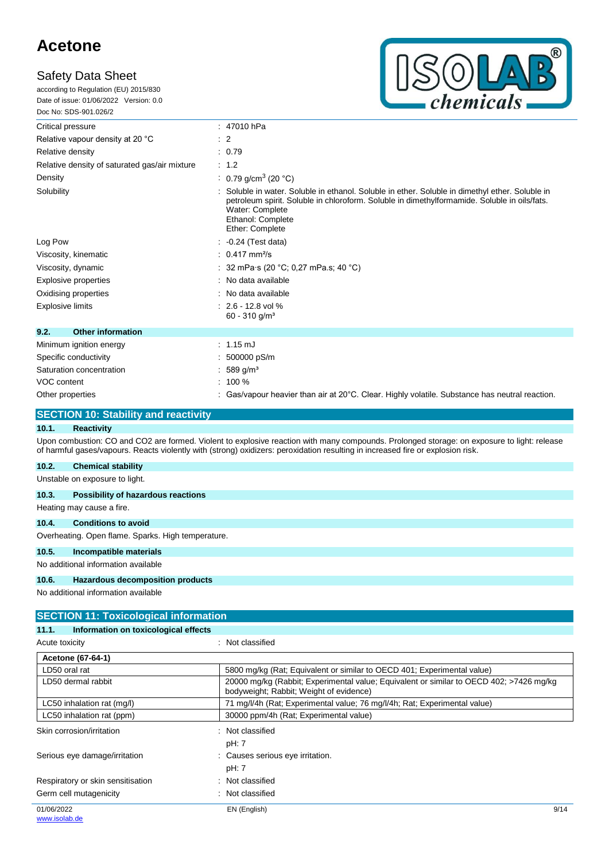according to Regulation (EU) 2015/830 Date of issue: 01/06/2022 Version: 0.0 Doc No: SDS-901.026/2



| <u>אטשעו ועכ-פטפי. טעט</u>                    |                                                                                                                                                                                                                                                          |
|-----------------------------------------------|----------------------------------------------------------------------------------------------------------------------------------------------------------------------------------------------------------------------------------------------------------|
| Critical pressure                             | : 47010 hPa                                                                                                                                                                                                                                              |
| Relative vapour density at 20 °C              | $\therefore$ 2                                                                                                                                                                                                                                           |
| Relative density                              | : 0.79                                                                                                                                                                                                                                                   |
| Relative density of saturated gas/air mixture | $\therefore$ 1.2                                                                                                                                                                                                                                         |
| Density                                       | 0.79 g/cm <sup>3</sup> (20 °C)                                                                                                                                                                                                                           |
| Solubility                                    | Soluble in water. Soluble in ethanol. Soluble in ether. Soluble in dimethyl ether. Soluble in<br>petroleum spirit. Soluble in chloroform. Soluble in dimethylformamide. Soluble in oils/fats.<br>Water: Complete<br>Ethanol: Complete<br>Ether: Complete |
| Log Pow                                       | $-0.24$ (Test data)                                                                                                                                                                                                                                      |
| Viscosity, kinematic                          | $: 0.417$ mm <sup>2</sup> /s                                                                                                                                                                                                                             |
| Viscosity, dynamic                            | 32 mPa·s (20 °C; 0,27 mPa.s; 40 °C)                                                                                                                                                                                                                      |
| Explosive properties                          | No data available                                                                                                                                                                                                                                        |
| Oxidising properties                          | No data available                                                                                                                                                                                                                                        |
| <b>Explosive limits</b>                       | $: 2.6 - 12.8$ vol %<br>$60 - 310$ g/m <sup>3</sup>                                                                                                                                                                                                      |
| 9.2.<br><b>Other information</b>              |                                                                                                                                                                                                                                                          |
| Minimum ignition energy                       | $: 1.15 \text{ mJ}$                                                                                                                                                                                                                                      |
| Specific conductivity                         | 500000 pS/m                                                                                                                                                                                                                                              |
| Saturation concentration                      | 589 g/m <sup>3</sup>                                                                                                                                                                                                                                     |
| VOC content                                   | $: 100 \%$                                                                                                                                                                                                                                               |
| Other properties                              | Gas/vapour heavier than air at 20°C. Clear. Highly volatile. Substance has neutral reaction.                                                                                                                                                             |

### **SECTION 10: Stability and reactivity**

### **10.1. Reactivity**

Upon combustion: CO and CO2 are formed. Violent to explosive reaction with many compounds. Prolonged storage: on exposure to light: release of harmful gases/vapours. Reacts violently with (strong) oxidizers: peroxidation resulting in increased fire or explosion risk.

### **10.2. Chemical stability**

| 10.Z. | <b>UNEINICAL STADING</b>                           |
|-------|----------------------------------------------------|
|       | Unstable on exposure to light.                     |
| 10.3. | Possibility of hazardous reactions                 |
|       | Heating may cause a fire.                          |
| 10.4. | <b>Conditions to avoid</b>                         |
|       | Overheating. Open flame. Sparks. High temperature. |
| 10.5. | Incompatible materials                             |
|       | No additional information available                |
| 10.6. | <b>Hazardous decomposition products</b>            |
|       |                                                    |

| <b>SECTION 11: Toxicological information</b>  |                                                                                                                                    |      |  |  |
|-----------------------------------------------|------------------------------------------------------------------------------------------------------------------------------------|------|--|--|
| Information on toxicological effects<br>11.1. |                                                                                                                                    |      |  |  |
| Acute toxicity                                | : Not classified                                                                                                                   |      |  |  |
| Acetone (67-64-1)                             |                                                                                                                                    |      |  |  |
| LD50 oral rat                                 | 5800 mg/kg (Rat; Equivalent or similar to OECD 401; Experimental value)                                                            |      |  |  |
| LD50 dermal rabbit                            | 20000 mg/kg (Rabbit; Experimental value; Equivalent or similar to OECD 402; >7426 mg/kg<br>bodyweight; Rabbit; Weight of evidence) |      |  |  |
| LC50 inhalation rat (mg/l)                    | 71 mg/l/4h (Rat; Experimental value; 76 mg/l/4h; Rat; Experimental value)                                                          |      |  |  |
| LC50 inhalation rat (ppm)                     | 30000 ppm/4h (Rat; Experimental value)                                                                                             |      |  |  |
| Skin corrosion/irritation                     | Not classified<br>pH: 7                                                                                                            |      |  |  |
| Serious eye damage/irritation                 | : Causes serious eye irritation.<br>pH: 7                                                                                          |      |  |  |
| Respiratory or skin sensitisation             | : Not classified                                                                                                                   |      |  |  |
| Germ cell mutagenicity                        | Not classified                                                                                                                     |      |  |  |
| 01/06/2022                                    | EN (English)                                                                                                                       | 9/14 |  |  |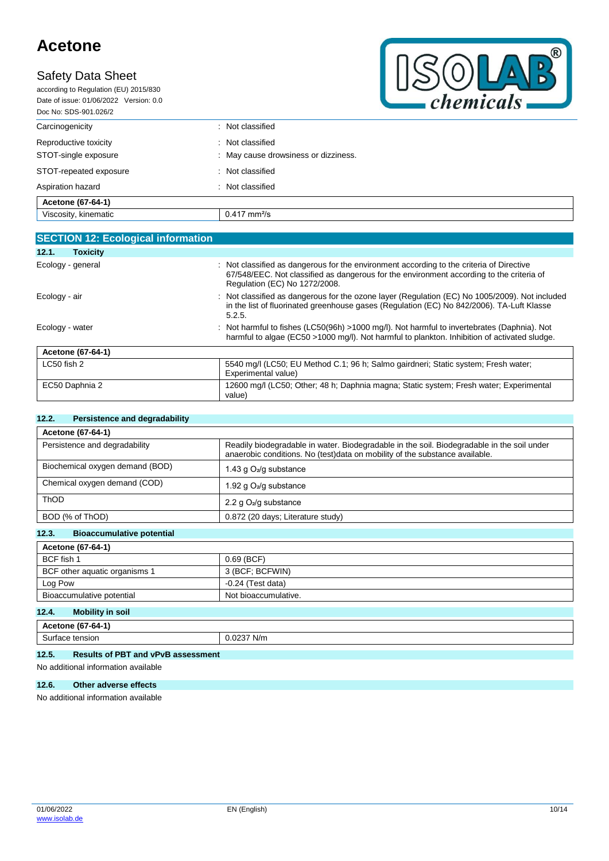## **Safety Data Sheet**

| according to Regulation (EU) 2015/830  |  |  |  |
|----------------------------------------|--|--|--|
| Date of issue: 01/06/2022 Version: 0.0 |  |  |  |
| Doc No: SDS-901.026/2                  |  |  |  |
| Carcinogenicity                        |  |  |  |
| Reproductive toxicity                  |  |  |  |
| STOT-single exposure                   |  |  |  |



| Viscosity, kinematic                          | $0.417 \text{ mm}^2\text{/s}$                            |
|-----------------------------------------------|----------------------------------------------------------|
| Acetone (67-64-1)                             |                                                          |
| Aspiration hazard                             | Not classified                                           |
| STOT-repeated exposure                        | Not classified                                           |
| Reproductive toxicity<br>STOT-single exposure | : Not classified<br>: May cause drowsiness or dizziness. |
| Carcinogenicity                               | : Not classified                                         |

| <b>SECTION 12: Ecological information</b> |                                                                                                                                                                                                                     |
|-------------------------------------------|---------------------------------------------------------------------------------------------------------------------------------------------------------------------------------------------------------------------|
| 12.1.<br><b>Toxicity</b>                  |                                                                                                                                                                                                                     |
| Ecology - general                         | Not classified as dangerous for the environment according to the criteria of Directive<br>67/548/EEC. Not classified as dangerous for the environment according to the criteria of<br>Regulation (EC) No 1272/2008. |
| Ecology - air                             | Not classified as dangerous for the ozone layer (Regulation (EC) No 1005/2009). Not included<br>in the list of fluorinated greenhouse gases (Regulation (EC) No 842/2006). TA-Luft Klasse<br>5.2.5.                 |
| Ecology - water                           | Not harmful to fishes (LC50(96h) >1000 mg/l). Not harmful to invertebrates (Daphnia). Not<br>harmful to algae (EC50 >1000 mg/l). Not harmful to plankton. Inhibition of activated sludge.                           |
| Acetone (67-64-1)                         |                                                                                                                                                                                                                     |
| $LC50$ fish 2                             | 5540 mg/l (LC50; EU Method C.1; 96 h; Salmo gairdneri; Static system; Fresh water;<br>Experimental value)                                                                                                           |
| EC50 Daphnia 2                            | 12600 mg/l (LC50; Other; 48 h; Daphnia magna; Static system; Fresh water; Experimental<br>value)                                                                                                                    |

#### **12.2. Persistence and degradability**

| Acetone (67-64-1)               |                                                                                                                                                                           |  |  |
|---------------------------------|---------------------------------------------------------------------------------------------------------------------------------------------------------------------------|--|--|
| Persistence and degradability   | Readily biodegradable in water. Biodegradable in the soil. Biodegradable in the soil under<br>anaerobic conditions. No (test)data on mobility of the substance available. |  |  |
| Biochemical oxygen demand (BOD) | 1.43 g $O_2$ /g substance                                                                                                                                                 |  |  |
| Chemical oxygen demand (COD)    | 1.92 g $O_2$ /g substance                                                                                                                                                 |  |  |
| <b>ThOD</b>                     | 2.2 g $O_2$ /g substance                                                                                                                                                  |  |  |
| BOD (% of ThOD)                 | 0.872 (20 days; Literature study)                                                                                                                                         |  |  |

#### **12.3. Bioaccumulative potential**

| Acetone (67-64-1)                   |                      |  |  |
|-------------------------------------|----------------------|--|--|
| BCF fish 1                          | $0.69$ (BCF)         |  |  |
| BCF other aquatic organisms 1       | 3 (BCF; BCFWIN)      |  |  |
| Log Pow                             | $-0.24$ (Test data)  |  |  |
| Bioaccumulative potential           | Not bioaccumulative. |  |  |
| 12 <sub>A</sub><br>Mobility in soil |                      |  |  |

#### **12.4. MODILITY** IN S

| $10-$<br>. .<br>/-64-<br>tone<br>10.                   |                                     |
|--------------------------------------------------------|-------------------------------------|
| tension<br>---<br>surt.<br>$-10$<br>iaud<br>. נכה<br>. | $\sim$ $\sim$ $\sim$<br>N/m<br>.uz. |

### **12.5. Results of PBT and vPvB assessment**

No additional information available

### **12.6. Other adverse effects**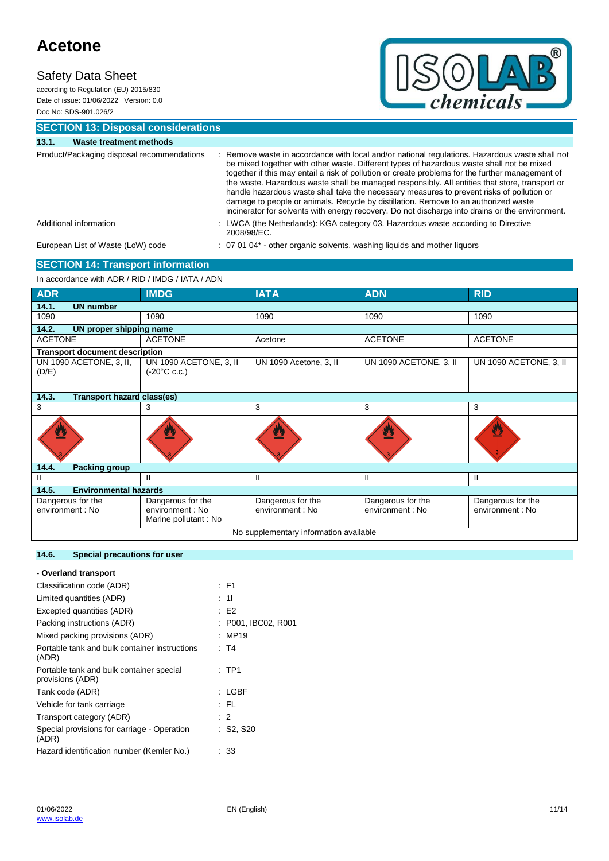according to Regulation (EU) 2015/830 Date of issue: 01/06/2022 Version: 0.0 Doc No: SDS-901.026/2



**SECTION 13: Disposal considerations**

| 13.1. | Waste treatment methods                    |                                                                                                                                                                                                                                                                                                                                                                                                                                                                                                                                                                                                                                                                                        |
|-------|--------------------------------------------|----------------------------------------------------------------------------------------------------------------------------------------------------------------------------------------------------------------------------------------------------------------------------------------------------------------------------------------------------------------------------------------------------------------------------------------------------------------------------------------------------------------------------------------------------------------------------------------------------------------------------------------------------------------------------------------|
|       | Product/Packaging disposal recommendations | Remove waste in accordance with local and/or national regulations. Hazardous waste shall not<br>be mixed together with other waste. Different types of hazardous waste shall not be mixed<br>together if this may entail a risk of pollution or create problems for the further management of<br>the waste. Hazardous waste shall be managed responsibly. All entities that store, transport or<br>handle hazardous waste shall take the necessary measures to prevent risks of pollution or<br>damage to people or animals. Recycle by distillation. Remove to an authorized waste<br>incinerator for solvents with energy recovery. Do not discharge into drains or the environment. |
|       | Additional information                     | : LWCA (the Netherlands): KGA category 03. Hazardous waste according to Directive<br>2008/98/EC.                                                                                                                                                                                                                                                                                                                                                                                                                                                                                                                                                                                       |
|       | European List of Waste (LoW) code          | : 07 01 04* - other organic solvents, washing liquids and mother liquors                                                                                                                                                                                                                                                                                                                                                                                                                                                                                                                                                                                                               |
|       | <b>SECTION 14: Transport information</b>   |                                                                                                                                                                                                                                                                                                                                                                                                                                                                                                                                                                                                                                                                                        |

#### In accordance with ADR / RID / IMDG / IATA / ADN

| <b>ADR</b>                                 | <b>IMDG</b>                                                   | <b>IATA</b>                           | <b>ADN</b>                            | <b>RID</b>                            |  |
|--------------------------------------------|---------------------------------------------------------------|---------------------------------------|---------------------------------------|---------------------------------------|--|
| 14.1.<br><b>UN number</b>                  |                                                               |                                       |                                       |                                       |  |
| 1090                                       | 1090                                                          | 1090                                  | 1090                                  | 1090                                  |  |
| 14.2.<br>UN proper shipping name           |                                                               |                                       |                                       |                                       |  |
| <b>ACETONE</b>                             | <b>ACETONE</b>                                                | Acetone                               | <b>ACETONE</b>                        | <b>ACETONE</b>                        |  |
| <b>Transport document description</b>      |                                                               |                                       |                                       |                                       |  |
| UN 1090 ACETONE, 3, II,<br>(D/E)           | UN 1090 ACETONE, 3, II<br>$(-20^{\circ}C \c.c.)$              | UN 1090 Acetone, 3, II                | UN 1090 ACETONE, 3, II                | UN 1090 ACETONE, 3, II                |  |
| 14.3.<br><b>Transport hazard class(es)</b> |                                                               |                                       |                                       |                                       |  |
| 3                                          | 3                                                             | 3                                     | 3                                     | 3                                     |  |
|                                            |                                                               |                                       |                                       | W                                     |  |
| 14.4.<br><b>Packing group</b>              |                                                               |                                       |                                       |                                       |  |
| Ш                                          | Ш                                                             | $\mathbf{H}$                          | Ш                                     | $\mathbf{I}$                          |  |
| 14.5.<br><b>Environmental hazards</b>      |                                                               |                                       |                                       |                                       |  |
| Dangerous for the<br>environment : No      | Dangerous for the<br>environment : No<br>Marine pollutant: No | Dangerous for the<br>environment : No | Dangerous for the<br>environment : No | Dangerous for the<br>environment : No |  |
| No supplementary information available     |                                                               |                                       |                                       |                                       |  |

#### **14.6. Special precautions for user**

| - Overland transport                                         |                      |
|--------------------------------------------------------------|----------------------|
| Classification code (ADR)                                    | : F1                 |
| Limited quantities (ADR)                                     | : 11                 |
| Excepted quantities (ADR)                                    | E2                   |
| Packing instructions (ADR)                                   | : P001, IBC02, R001  |
| Mixed packing provisions (ADR)                               | MP19                 |
| Portable tank and bulk container instructions<br>(ADR)       | : T4                 |
| Portable tank and bulk container special<br>provisions (ADR) | $:$ TP1              |
| Tank code (ADR)                                              | $:$ LGBF             |
| Vehicle for tank carriage                                    | : FL                 |
| Transport category (ADR)                                     | $\therefore$ 2       |
| Special provisions for carriage - Operation<br>(ADR)         | $\therefore$ S2, S20 |
| Hazard identification number (Kemler No.)                    | 33                   |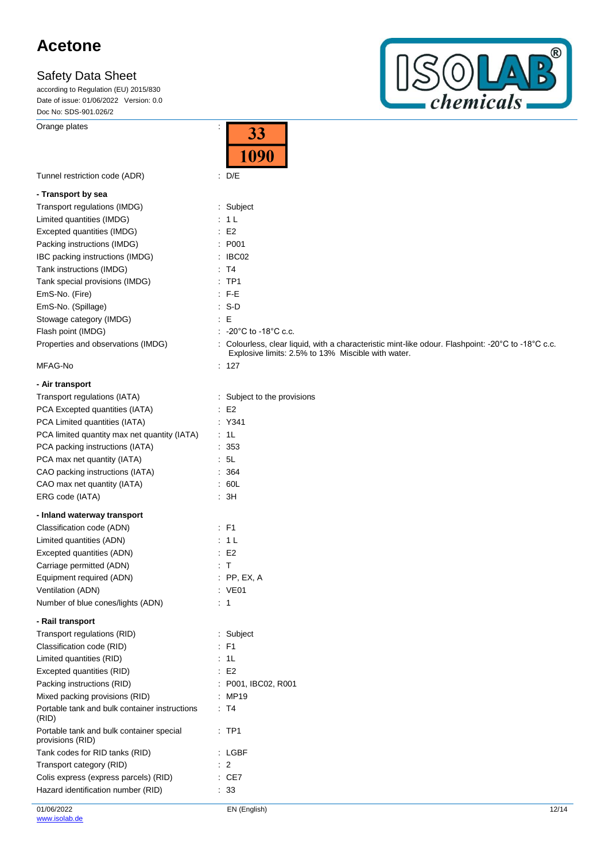according to Regulation (EU) 2015/830 Date of issue: 01/06/2022 Version: 0.0 Doc No: SDS-901.026/2

Orange plates is a set of the set of the set of the set of the set of the set of the set of the set of the set of the set of the set of the set of the set of the set of the set of the set of the set of the set of the set o



|                                                              | 33<br>1090                                                                                                                                               |
|--------------------------------------------------------------|----------------------------------------------------------------------------------------------------------------------------------------------------------|
| Tunnel restriction code (ADR)                                | $\therefore$ D/E                                                                                                                                         |
| - Transport by sea                                           |                                                                                                                                                          |
| Transport regulations (IMDG)                                 | : Subject                                                                                                                                                |
| Limited quantities (IMDG)                                    | : 1 L                                                                                                                                                    |
| Excepted quantities (IMDG)                                   | E2                                                                                                                                                       |
| Packing instructions (IMDG)                                  | : P001                                                                                                                                                   |
| IBC packing instructions (IMDG)                              | : IBC02                                                                                                                                                  |
| Tank instructions (IMDG)                                     | : T4                                                                                                                                                     |
| Tank special provisions (IMDG)                               | : TP1                                                                                                                                                    |
| EmS-No. (Fire)                                               | : F-E                                                                                                                                                    |
| EmS-No. (Spillage)                                           | : S-D                                                                                                                                                    |
| Stowage category (IMDG)                                      | $\colon E$                                                                                                                                               |
| Flash point (IMDG)                                           | : $-20^{\circ}$ C to -18 $^{\circ}$ C c.c.                                                                                                               |
| Properties and observations (IMDG)                           | : Colourless, clear liquid, with a characteristic mint-like odour. Flashpoint: -20°C to -18°C c.c.<br>Explosive limits: 2.5% to 13% Miscible with water. |
| MFAG-No                                                      | : 127                                                                                                                                                    |
| - Air transport                                              |                                                                                                                                                          |
| Transport regulations (IATA)                                 | : Subject to the provisions                                                                                                                              |
| PCA Excepted quantities (IATA)                               | $\therefore$ E2                                                                                                                                          |
| PCA Limited quantities (IATA)                                | : Y341                                                                                                                                                   |
| PCA limited quantity max net quantity (IATA)                 | : 1L                                                                                                                                                     |
| PCA packing instructions (IATA)                              | : 353                                                                                                                                                    |
| PCA max net quantity (IATA)                                  | : 5L                                                                                                                                                     |
| CAO packing instructions (IATA)                              | : 364                                                                                                                                                    |
| CAO max net quantity (IATA)                                  | : 60L                                                                                                                                                    |
| ERG code (IATA)                                              | $\therefore$ 3H                                                                                                                                          |
| - Inland waterway transport                                  |                                                                                                                                                          |
| Classification code (ADN)                                    | : F1                                                                                                                                                     |
| Limited quantities (ADN)                                     | : 1 L                                                                                                                                                    |
| Excepted quantities (ADN)                                    | E2                                                                                                                                                       |
| Carriage permitted (ADN)                                     | : T                                                                                                                                                      |
| Equipment required (ADN)                                     | $:$ PP, EX, A                                                                                                                                            |
| Ventilation (ADN)                                            | : VE01                                                                                                                                                   |
| Number of blue cones/lights (ADN)                            | $\therefore$ 1                                                                                                                                           |
| - Rail transport                                             |                                                                                                                                                          |
| Transport regulations (RID)                                  | : Subject                                                                                                                                                |
| Classification code (RID)                                    | F1                                                                                                                                                       |
| Limited quantities (RID)                                     | : 1L                                                                                                                                                     |
| Excepted quantities (RID)                                    | E <sub>2</sub>                                                                                                                                           |
| Packing instructions (RID)                                   | P001, IBC02, R001                                                                                                                                        |
| Mixed packing provisions (RID)                               | : MP19                                                                                                                                                   |
| Portable tank and bulk container instructions<br>(RID)       | : T4                                                                                                                                                     |
| Portable tank and bulk container special<br>provisions (RID) | : TP1                                                                                                                                                    |
| Tank codes for RID tanks (RID)                               | : LGBF                                                                                                                                                   |
| Transport category (RID)                                     | $\overline{2}$                                                                                                                                           |
| Colis express (express parcels) (RID)                        | $\therefore$ CE7                                                                                                                                         |
| Hazard identification number (RID)                           | : 33                                                                                                                                                     |

Ŧ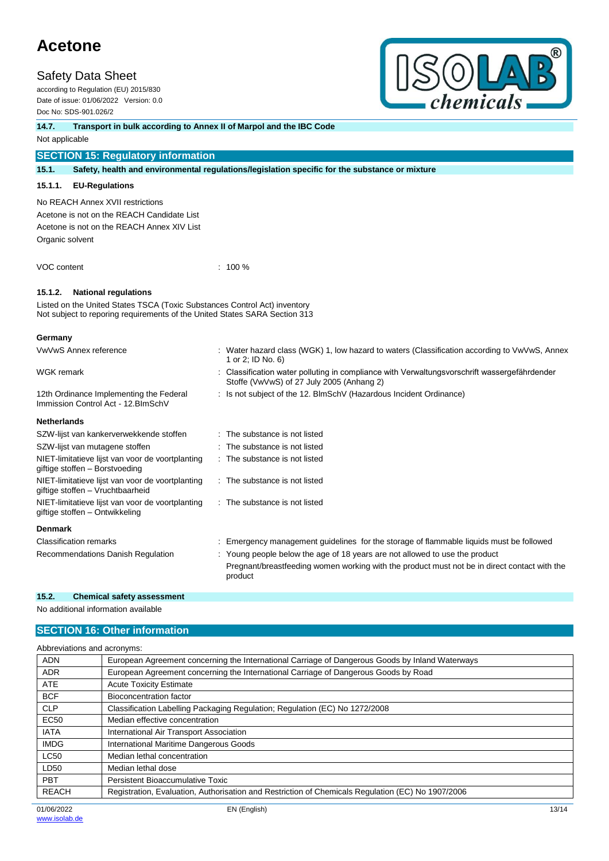### **Safety Data Sheet**

according to Regulation (EU) 2015/830 Date of issue: 01/06/2022 Version: 0.0 Doc No: SDS-901.026/2



**14.7. Transport in bulk according to Annex II of Marpol and the IBC Code**

Not applicable

### **SECTION 15: Regulatory information**

**15.1. Safety, health and environmental regulations/legislation specific for the substance or mixture**

#### **15.1.1. EU-Regulations**

No REACH Annex XVII restrictions

Acetone is not on the REACH Candidate List Acetone is not on the REACH Annex XIV List Organic solvent

VOC content : 100 %

#### **15.1.2. National regulations**

Listed on the United States TSCA (Toxic Substances Control Act) inventory Not subject to reporing requirements of the United States SARA Section 313

#### **Germany**

| VwVwS Annex reference                                                                | : Water hazard class (WGK) 1, low hazard to waters (Classification according to VwVwS, Annex<br>1 or 2; ID No. 6)                       |
|--------------------------------------------------------------------------------------|-----------------------------------------------------------------------------------------------------------------------------------------|
| WGK remark                                                                           | Classification water polluting in compliance with Verwaltungsvorschrift wassergefährdender<br>Stoffe (VwVwS) of 27 July 2005 (Anhang 2) |
| 12th Ordinance Implementing the Federal<br>Immission Control Act - 12. BlmSchV       | : Is not subject of the 12. BlmSchV (Hazardous Incident Ordinance)                                                                      |
| <b>Netherlands</b>                                                                   |                                                                                                                                         |
| SZW-lijst van kankerverwekkende stoffen                                              | : The substance is not listed                                                                                                           |
| SZW-lijst van mutagene stoffen                                                       | : The substance is not listed                                                                                                           |
| NIET-limitatieve lijst van voor de voortplanting<br>giftige stoffen - Borstvoeding   | : The substance is not listed                                                                                                           |
| NIET-limitatieve lijst van voor de voortplanting<br>giftige stoffen - Vruchtbaarheid | : The substance is not listed                                                                                                           |
| NIET-limitatieve lijst van voor de voortplanting<br>giftige stoffen – Ontwikkeling   | : The substance is not listed                                                                                                           |
| <b>Denmark</b>                                                                       |                                                                                                                                         |
| <b>Classification remarks</b>                                                        | Emergency management guidelines for the storage of flammable liquids must be followed                                                   |
| Recommendations Danish Regulation                                                    | : Young people below the age of 18 years are not allowed to use the product                                                             |
|                                                                                      | Pregnant/breastfeeding women working with the product must not be in direct contact with the<br>product                                 |

#### **15.2. Chemical safety assessment**

No additional information available

### **SECTION 16: Other information**

| Abbreviations and acronyms: |                                                                                                   |  |  |
|-----------------------------|---------------------------------------------------------------------------------------------------|--|--|
| <b>ADN</b>                  | European Agreement concerning the International Carriage of Dangerous Goods by Inland Waterways   |  |  |
| <b>ADR</b>                  | European Agreement concerning the International Carriage of Dangerous Goods by Road               |  |  |
| <b>ATE</b>                  | <b>Acute Toxicity Estimate</b>                                                                    |  |  |
| <b>BCF</b>                  | Bioconcentration factor                                                                           |  |  |
| <b>CLP</b>                  | Classification Labelling Packaging Regulation; Regulation (EC) No 1272/2008                       |  |  |
| <b>EC50</b>                 | Median effective concentration                                                                    |  |  |
| <b>IATA</b>                 | International Air Transport Association                                                           |  |  |
| <b>IMDG</b>                 | International Maritime Dangerous Goods                                                            |  |  |
| <b>LC50</b>                 | Median lethal concentration                                                                       |  |  |
| LD50                        | Median lethal dose                                                                                |  |  |
| <b>PBT</b>                  | Persistent Bioaccumulative Toxic                                                                  |  |  |
| <b>REACH</b>                | Registration, Evaluation, Authorisation and Restriction of Chemicals Regulation (EC) No 1907/2006 |  |  |